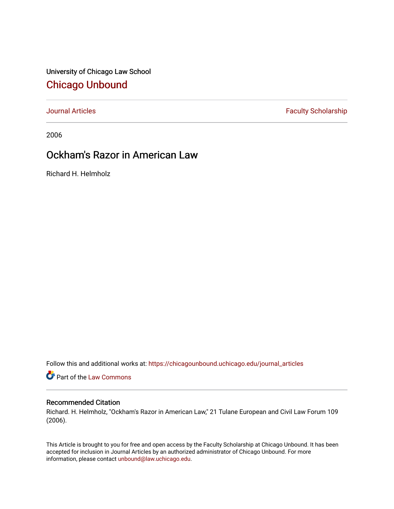University of Chicago Law School [Chicago Unbound](https://chicagounbound.uchicago.edu/)

[Journal Articles](https://chicagounbound.uchicago.edu/journal_articles) **Faculty Scholarship Faculty Scholarship** 

2006

## Ockham's Razor in American Law

Richard H. Helmholz

Follow this and additional works at: [https://chicagounbound.uchicago.edu/journal\\_articles](https://chicagounbound.uchicago.edu/journal_articles?utm_source=chicagounbound.uchicago.edu%2Fjournal_articles%2F1477&utm_medium=PDF&utm_campaign=PDFCoverPages) 

Part of the [Law Commons](http://network.bepress.com/hgg/discipline/578?utm_source=chicagounbound.uchicago.edu%2Fjournal_articles%2F1477&utm_medium=PDF&utm_campaign=PDFCoverPages)

### Recommended Citation

Richard. H. Helmholz, "Ockham's Razor in American Law," 21 Tulane European and Civil Law Forum 109 (2006).

This Article is brought to you for free and open access by the Faculty Scholarship at Chicago Unbound. It has been accepted for inclusion in Journal Articles by an authorized administrator of Chicago Unbound. For more information, please contact [unbound@law.uchicago.edu](mailto:unbound@law.uchicago.edu).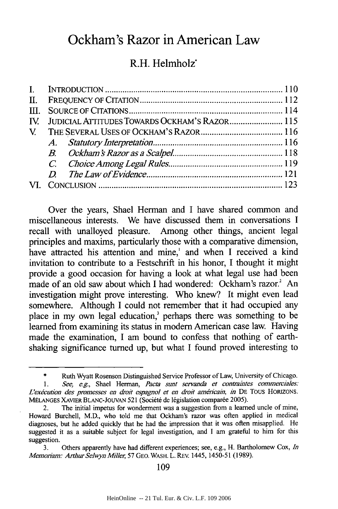# **Ockham's Razor in American Law**

## R.H. Helmholz'

|  | IV. JUDICIAL ATTITUDES TOWARDS OCKHAM'S RAZOR 115 |  |
|--|---------------------------------------------------|--|
|  |                                                   |  |
|  |                                                   |  |
|  |                                                   |  |
|  |                                                   |  |
|  |                                                   |  |
|  |                                                   |  |
|  |                                                   |  |

Over the years, Shael Herman and I have shared common and miscellaneous interests. We have discussed them in conversations I recall with unalloyed pleasure. Among other things, ancient legal principles and maxims, particularly those with a comparative dimension, have attracted his attention and mine,<sup>1</sup> and when I received a kind invitation to contribute to a Festschrift in his honor, I thought it might provide a good occasion for having a look at what legal use had been made of an old saw about which I had wondered: Ockham's razor.' An investigation might prove interesting. Who knew? It might even lead somewhere. Although I could not remember that it had occupied any place in my own legal education,<sup>3</sup> perhaps there was something to be learned from examining its status in modem American case law. Having made the examination, I am bound to confess that nothing of earthshaking significance turned up, but what I found proved interesting to

109

<sup>\*</sup> Ruth Wyatt Rosenson Distinguished Service Professor of Law, University of Chicago. *1. See, e.g.,* Shael Herman, *Pacta sunt servanda et contrarntes commerciales:* L'exécution des promesses en droit espagnol et en droit américain, in DE Tous HORIZONS. **MÉLANGES XAVIER BLANC-JOUVAN 521 (Société de législation comparée 2005).** 

<sup>2.</sup> The initial impetus for wonderment was a suggestion from a learned uncle of mine, Howard Burchell, M.D., who told me that Ockham's razor was often applied in medical diagnoses, but he added quickly that he had the impression that it was often misapplied. He suggested it as a suitable subject for legal investigation, and **I** am grateful to him for this suggestion.

**<sup>3.</sup>** Others apparently have had different experiences; see, e.g., H. Bartholomew Cox, *n Memoriam: Arthur Selwyn Miller,* **57 GEO. WASH.** L. **REV.** 1445, **1450-51 (1989).**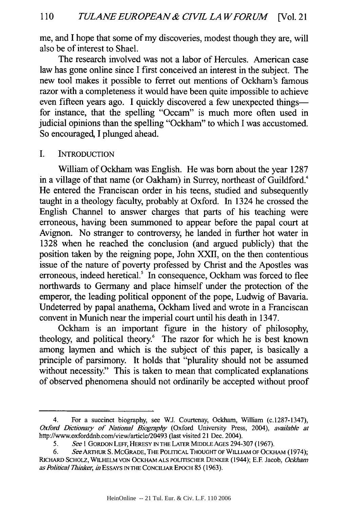me, and I hope that some of my discoveries, modest though they are, will also be of interest to Shael.

The research involved was not a labor of Hercules. American case law has gone online since I first conceived an interest in the subject. The new tool makes it possible to ferret out mentions of Ockham's famous razor with a completeness it would have been quite impossible to achieve even fifteen years ago. I quickly discovered a few unexpected thingsfor instance, that the spelling "Occam" is much more often used in judicial opinions than the spelling "Ockham" to which I was accustomed. So encouraged, I plunged ahead.

I. INTRODUCTION

William of Ockham was English. He was born about the year 1287 in a village of that name (or Oakham) in Surrey, northeast of Guildford.<sup>4</sup> He entered the Franciscan order in his teens, studied and subsequently taught in a theology faculty, probably at Oxford. In 1324 he crossed the English Channel to answer charges that parts of his teaching were erroneous, having been summoned to appear before the papal court at Avignon. No stranger to controversy, he landed in further hot water in 1328 when he reached the conclusion (and argued publicly) that the position taken by the reigning pope, John XXII, on the then contentious issue of the nature of poverty professed by Christ and the Apostles was erroneous, indeed heretical.<sup>5</sup> In consequence, Ockham was forced to flee northwards to Germany and place himself under the protection of the emperor, the leading political opponent of the pope, Ludwig of Bavaria. Undeterred by papal anathema, Ockham lived and wrote in a Franciscan convent in Munich near the imperial court until his death in 1347.

Ockham is an important figure in the history of philosophy, theology, and political theory.<sup>6</sup> The razor for which he is best known among laymen and which is the subject of this paper, is basically a principle of parsimony. It holds that "plurality should not be assumed without necessity." This is taken to mean that complicated explanations of observed phenomena should not ordinarily be accepted without proof

<sup>4.</sup> For a succinct biography, see **WJ.** Courtenay, Ockham, William (c.1287-1347), *Oxford Dictionary of National Biography* (Oxford University Press, 2004), *available at* http://www.oxforddnb.com/view/article/20493 (last visited 21 Dec. 2004).

*<sup>5.</sup> See* 1 GORDON LEFF, HERESY **IN** THE LATER **MIDDLE** AGES 294-307 (1967).

*<sup>6.</sup>* SeeARTHuR **S.** MCGRADE, **THE** POLMCAL **THOUGHT** OF WILLLAM OF OCKHAM (1974); RICHARD SCHOLZ, WILHELM **VON** OCKHAM **ALS** POLrrISCHER DENKER (1944); **E.F** Jacob, *Ockham as Politcal Thinker, hn* ESSAYS **IN** THE CONCILIAR **EPOCH** 85 (1963).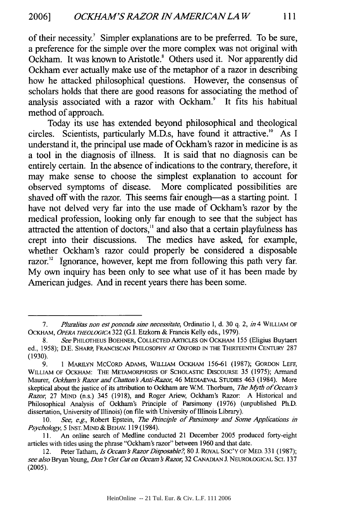of their necessity.7 Simpler explanations are to be preferred. To be sure, a preference for the simple over the more complex was not original with Ockham. It was known to Aristotle.<sup>8</sup> Others used it. Nor apparently did Ockham ever actually make use of the metaphor of a razor in describing how he attacked philosophical questions. However, the consensus of scholars holds that there are good reasons for associating the method of analysis associated with a razor with Ockham.<sup>9</sup> It fits his habitual method of approach.

Today its use has extended beyond philosophical and theological circles. Scientists, particularly M.D.s, have found it attractive.'" As I understand it, the principal use made of Ockham's razor in medicine is as a tool in the diagnosis of illness. It is said that no diagnosis can be entirely certain. In the absence of indications to the contrary, therefore, it may make sense to choose the simplest explanation to account for observed symptoms of disease. More complicated possibilities are shaved off with the razor. This seems fair enough-as a starting point. I have not delved very far into the use made of Ockham's razor by the medical profession, looking only far enough to see that the subject has attracted the attention of doctors," and also that a certain playfulness has crept into their discussions. The medics have asked, for example, whether Ockham's razor could properly be considered a disposable razor.<sup>12</sup> Ignorance, however, kept me from following this path very far. My own inquiry has been only to see what use of it has been made by American judges. And in recent years there has been some.

<sup>7.</sup> *Pluralitas non est ponenda sine necessitate*, Ordinatio I, d. 30 q. 2, *in* 4 WILLIAM OF OCKHAM, *OPERA THEOLOGICA* 322 (G.I. Etzkorn & Francis Kelly eds., 1979).

<sup>8.</sup> *See* PHILOTHEUS BOEHNER, **COLLECTED** ARTICLES **ON** OCKHAM 155 (Eligius Buytaert ed., 1958); D.E. SHARP, **FRANCISCAN** PhILOSOPHY **AT** OXFORD **IN** THE THIRTEENTH **CENTURY** 287 (1930).

<sup>9. 1</sup> MARILYN MCCORD ADAMS, WILLIAM OCKHAM 156-61 (1987); GORDON LEFF, WILLIAM OF OCKHAM: THE METAMORPHOSIS OF SCHOLASTIC DISCOURSE 35 (1975); Armand Maurer, *Ockham's Razor and Chatton's Anti-Razor*, 46 MEDIAEVAL STUDIES 463 (1984). More skeptical about the justice of its attribution to Ockham are W.M. Thorburn, *The Myth of Occam's Razor,* 27 MIND (n.s.) 345 (1918), and Roger Ariew, Ockham's Razor: A Historical and Philosophical Analysis of Ockham's Principle of Parsimony (1976) (unpublished Ph.D. dissertation, University of Illinois) (on file with University of Illinois Library).

<sup>10.</sup> *See, e.g.*, Robert Epstein, *The Principle of Parsimony and Some Applications in Psychology,* 5 **INST. MIND** *&* **BEHAV.** 119(1984).

**<sup>11.</sup>** An online search of Medline conducted 21 December **2005** produced forty-eight articles with titles using the phrase "Ockham's razor" between **1960** and that date.

<sup>12.</sup> Peter Tatham, *Is Occam's Razor Disposable?*, 80 J. ROYAL SOC'Y OF MED. 331 (1987); *see also* Bryan Young, *Don't Get Cut on Occam s Razor,* **32 CANADIAN J. NEUROLOGICAL SCI. 137** (2005).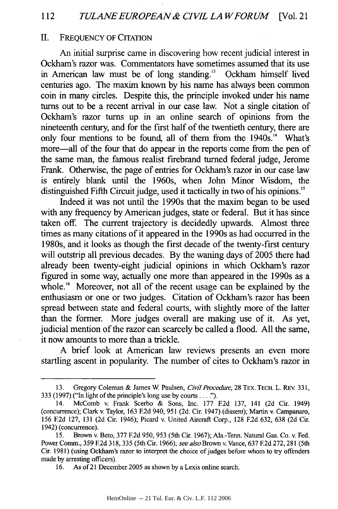#### II. FREQUENCY OF CITATION

An initial surprise came in discovering how recent judicial interest in Ockham's razor was. Commentators have sometimes assumed that its use in American law must be of long standing.<sup>13</sup> Ockham himself lived centuries ago. The maxim known **by** his name has always been common coin in many circles. Despite this, the principle invoked under his name turns out to be a recent arrival in our case law. Not a single citation of Ockham's razor turns up in an online search of opinions from the nineteenth century, and for the first half of the twentieth century, there are only four mentions to be found, all of them from the 1940s.'" What's more-all of the four that do appear in the reports come from the pen of the same man, the famous realist firebrand turned federal judge, Jerome Frank. Otherwise, the page of entries for Ockham's razor in our case law is entirely blank until the 1960s, when John Minor Wisdom, the distinguished Fifth Circuit judge, used it tactically in two of his opinions.'"

Indeed it was not until the 1990s that the maxim began to be used with any frequency by American judges, state or federal. But it has since taken off. The current trajectory is decidedly upwards. Almost three times as many citations of it appeared in the 1990s as had occurred in the 1980s, and it looks as though the first decade of the twenty-first century will outstrip all previous decades. By the waning days of 2005 there had already been twenty-eight judicial opinions in which Ockham's razor figured in some way, actually one more than appeared in the 1990s as a whole.<sup>16</sup> Moreover, not all of the recent usage can be explained by the enthusiasm or one or two judges. Citation of Ockham's razor has been spread between state and federal courts, with slightly more of the latter than the former. More judges overall are making use of it. As yet, judicial mention of the razor can scarcely be called a flood. All the same, it now amounts to more than a trickle.

A brief look at American law reviews presents an even more startling ascent in popularity. The number of cites to Ockham's razor in

<sup>13.</sup> Gregory Coleman & James W Paulsen, *Civil Procedure,* 28 TEX. TECH. L. REv. 331, 333 (1997) ("In light of the principle's long use by **courts....").**

<sup>14.</sup> McComb v. Frank Scerbo & Sons, Inc. 177 **F.2d** 137, 141 (2d Cir. 1949) (concurrence); Clark v. Taylor, 163 E2d 940, 951 (2d. Cir. 1947) (dissent); Martin v. Campanaro, 156 **E2d** 127, 131 (2d Cir. 1946); Picard v. United Aircraft Corp., 128 **F.2d** 632, 638 (2d Cir. 1942) (concurrence).

*<sup>15.</sup>* Brown v. Beto, 377 E2d 950, 953 (5th Cir. 1967); Ala.-Tenn. Natural Gas. Co. v. Fed. Power Comm., 359 **F2d** 318, 335 (5th Cir. 1966); *see also* Brown v. Vance, 637 E2d 272, 281 (5th Cir. 1981) (using Ockham's razor to interpret the choice of judges before whom to try offenders made by arresting officers).

<sup>16.</sup> As of 21 December 2005 as shown by a Lexis online search.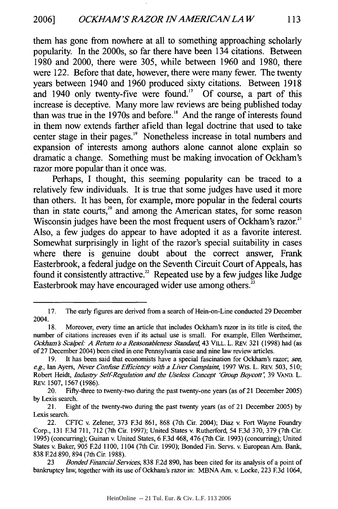113

them has gone from nowhere at all to something approaching scholarly popularity. In the 2000s, so far there have been 134 citations. Between **1980** and 2000, there were **305,** while between **1960** and **1980,** there were 122. Before that date, however, there were many fewer. The twenty years between 1940 and **1960** produced sixty citations. Between **1918** and 1940 only twenty-five were found.<sup>17</sup> Of course, a part of this increase is deceptive. Many more law reviews are being published today than was true in the 1970s and before.'8 And the range of interests found in them now extends farther afield than legal doctrine that used to take center stage in their pages.<sup>19</sup> Nonetheless increase in total numbers and expansion of interests among authors alone cannot alone explain so dramatic a change. Something must be making invocation of Ockham's razor more popular than it once was.

Perhaps, **I** thought, this seeming popularity can be traced to a relatively few individuals. It is true that some judges have used it more than others. It has been, for example, more popular in the federal courts than in state courts," **and among** the American states, for some reason Wisconsin judges have been the most frequent users of Ockham's razor.<sup>21</sup> Also, a few judges do appear to have adopted it as a favorite interest. Somewhat surprisingly in light of the razor's special suitability in cases where there is genuine doubt about the correct answer, Frank Easterbrook, a federal judge on the Seventh Circuit Court of Appeals, has found it consistently attractive." Repeated use **by** a few judges like Judge Easterbrook may have encouraged wider use among others.<sup>23</sup>

<sup>17.</sup> The early figures are derived from a search of Hein-on-Line conducted **29** December 2004.

<sup>18.</sup> Moreover, every time an article that includes Ockham's razor in its title is cited, the number of citations increases even if its actual use is small. For example, Ellen Wertheimer, *Ockham f Scalpel. A Return to a Reasonableness Standard,* 43 VILE. L. REV. 321 (1998) had (as of 27 December 2004) been cited in one Pennsylvania case and nine law review articles.

<sup>19.</sup> It has been said that economists have a special fascination for Ockham's razor; *see, e.g.*, Ian Ayers, *Never Confuse Efficiency with a Liver Complaint*, 1997 Wis. L. REv. 503, 510; Robert Heidt, *Industry Self-Regulation and the Useless Concept 'Group Boycott'*, 39 VAND. L. REv. 1507, 1567 (1986).

<sup>20.</sup> Fifty-three to twenty-two during the past twenty-one years (as of 21 December 2005) **by** Lexis search.

<sup>21.</sup> Eight of the twenty-two during the past twenty years (as of 21 December 2005) by Lexis search.

<sup>22.</sup> CFTC v. Zelener, 373 **E3d** 861, 868 (7th Cir. 2004); Diaz v. Fort Wayne Foundry Corp., 131 **E3d** 711, 712 (7th Cir. 1997); United States v. Rutherford, 54 **E3d** 370, 379 (7th Cir. 1995) (concurring); Guinan v. United States, 6 **E3d** 468, 476 (7th Cir. 1993) (concurring); United States v. Baker, 905 E2d 1100, 1104 (7th Cir. 1990); Bonded Fin. Servs. v. European Am. Bank, 838 E2d 890, 894 (7th Cir. 1988).

<sup>23</sup> *Bonded Financial Services,* **838 F2d** 890, has been cited for its analysis of a point of bankruptcy law, together with its use of Ockham's razor in: MBNA Am. v. Locke, 223 E3d 1064,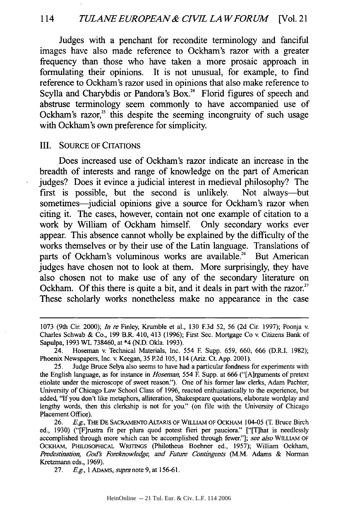Judges with a penchant for recondite terminology and fanciful images have also made reference to Ockham's razor with a greater frequency than those who have taken a more prosaic approach in formulating their opinions. It is not unusual, for example, to find reference to Ockham's razor used in opinions that also make reference to Scylla and Charybdis or Pandora's Box.<sup>24</sup> Florid figures of speech and abstruse terminology seem commonly to have accompanied use of Ockham's razor,<sup>25</sup> this despite the seeming incongruity of such usage with Ockham's own preference for simplicity.

#### III. SOURCE OF CITATIONS

Does increased use of Ockham's razor indicate an increase in the breadth of interests and range of knowledge on the part of American judges? Does it evince a judicial interest in medieval philosophy? The first is possible, but the second is unlikely. Not always-but sometimes—judicial opinions give a source for Ockham's razor when citing it. The cases, however, contain not one example of citation to a work **by** William of Ockham himself. Only secondary works ever appear. This absence cannot wholly be explained **by** the difficulty of the works themselves or **by** their use of the Latin language. Translations of parts of Ockham's voluminous works are available.<sup>26</sup> But American judges have chosen not to look at them. More surprisingly, they have also chosen not to make use of any of the secondary literature on Ockham. Of this there is quite a bit, and it deals in part with the razor.<sup>27</sup> These scholarly works nonetheless make no appearance in the case

**27.** *E.g.,* **1** ADAMS, *supra* note **9,** at **156-61.**

<sup>1073 (9</sup>th Cir. 2000); *In re* Finley, Krumble et al., 130 **E3d** 52, 56 (2d Cir. 1997); Poonja v. Charles Schwab & Co., 199 B.R. 410, 413 (1996); First Sec. Mortgage Co v. Citizens Bank of Sapulpa, 1993 WL 738460, at \*4 (N.D. Okla. 1993).

<sup>24.</sup> Hoseman v. Technical Materials, Inc. 554 **F.** Supp. 659, 660, 666 (D.R.I. 1982); Phoenix Newspapers, Inc. v. Keegan, 35 P.2d 105, 114 (Ariz. Ct. App. 2001).

<sup>25.</sup> Judge Bruce Selya also seems to have had a particular fondness for experiments with the English language, as for instance in *Hoseman,* 554 **E** Supp. at 666 ("[A]rguments of pretext etiolate under the microscope of sweet reason."). One of his former law clerks, Adam Pachter, University of Chicago Law School Class of **1996,** reacted enthusiastically to the experience, but added, "If you don't like metaphors, alliteration, Shakespeare quotations, elaborate wordplay and lengthy words, then this clerkship is not for you." (on file with the University of Chicago Placement Office).

<sup>26.</sup> *E.g.*, The De Sacramento Altaris of William of Ockham 104-05 (T. Bruce Birch ed., 1930) ("[F]rustra fit per plum quod potest fieri per pauciora." ["[T]hat is needlessly accomplished through more which can be accomplished through fewer."]; *see also* WILLIAM OF OCKHAM, PHILOSOPHICAL WRITINGS (Philotheus Boehner ed., 1957); William Ockham, *Predestination, God Foreknowledge, and Future Contingents* (M.M. Adams & Norman Kretzmann eds., **1969).**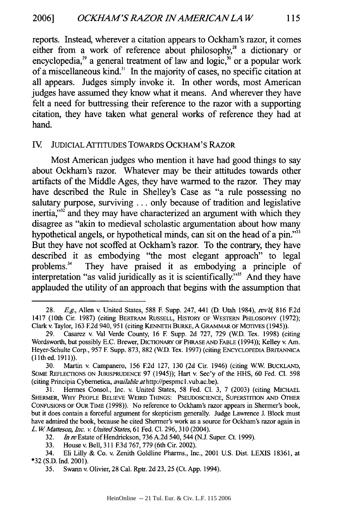reports. Instead, wherever a citation appears to Ockham's razor, it comes either from a work of reference about philosophy,<sup>28</sup> a dictionary or encyclopedia,<sup>29</sup> a general treatment of law and logic,<sup>30</sup> or a popular work of a miscellaneous kind. $31$  In the majority of cases, no specific citation at all appears. Judges simply invoke it. In other words, most American judges have assumed they know what it means. And wherever they have felt a need for buttressing their reference to the razor with a supporting citation, they have taken what general works of reference they had at hand.

#### IV JUDICIAL ATTITUDES TOWARDS OCKHAM'S RAZOR

Most American judges who mention it have had good things to say about Ockham's razor. Whatever may be their attitudes towards other artifacts of the Middle Ages, they have warmed to the razor. They may have described the Rule in Shelley's Case as "a rule possessing no salutary purpose, surviving **...** only because of tradition and legislative inertia,"<sup>32</sup> and they may have characterized an argument with which they disagree as "akin to medieval scholastic argumentation about how many hypothetical angels, or hypothetical minds, can sit on the head of a pin."<sup>33</sup> But they have not scoffed at Ockham's razor. To the contrary, they have described it as embodying "the most elegant approach" to legal problems." They have praised it as embodying a principle of interpretation "as valid juridically as it is scientifically."" And they have applauded the utility of an approach that begins with the assumption that

<sup>28.</sup> *E.g.*, Allen v. United States, 588 F. Supp. 247, 441 (D. Utah 1984), *rev'd*, 816 F.2d 1417 (10th Cir. 1987) (citing BERTRAM RUSSELL, HISTORY OF WESTERN PHILOSOPHY (1972); Clark v. Taylor, 163 **E2d** 940, 951 (citing KENNETH BURKE, A GRAMMAR OF MOTIVES (1945)).

<sup>29.</sup> Casarez v. Val Verde County, 16 F. Supp. 2d 727, 729 (WD. Tex. 1998) (citing Wordsworth, but possibly **E.C.** Brewer, DICTIONARY OF PHRASE AND FABLE (1994)); Kelley v. Am. Heyer-Schulte Corp., 957 F Supp. 873, 882 (WD. Tex. 1997) (citing ENCYCLOPEDIA BRITANNICA ( **lIth** ed. 1911)).

<sup>30.</sup> Martin v. Campanero, 156 E2d 127, 130 (2d Cir. 1946) (citing WW BUCKLAND, SOME REFLECTIONS **ON JURISPRUDENCE** 97 (1945)); Hart v. Sec'y of the HHS, 60 Fed. **Cl.** 598 (citing Principia Cybernetica, *available* athttp://pespmc **1** .vub.ac.be).

<sup>31.</sup> Hermes Consol., Inc. v. United States, 58 Fed. Cl. 3, 7 (2003) (citing MICHAEL SHERMER, WHY PEOPLE BELIEVE WEIRD THINGS: PSEUDOSCIENCE, SUPERSTITION **AND** OTHER CONFUSIONS OF OUR TiME (1998)). No reference to Ockham's razor appears in Shermer's book, but it does contain a forceful argument for skepticism generally. Judge Lawrence **J.** Block must have admired the book, because he cited Shermer's work as a source for Ockham's razor again in *L. W Matteson, Inc. v United States,* 61 Fed. **Cl.** 296, 310 (2004).

**<sup>32.</sup>** *In re* Estate of Hendrickson, **736 A.2d** 540, 544 **(N.J.** Super. Ct. **1999).**

**<sup>33.</sup>** House v. Bell, **311 F3d 767, 779** (6th Cir. 2002).

<sup>34.</sup> Eli Lilly **&** Co. v. Zenith Goldline Pharms., Inc., 2001 **U.S.** Dist. **LEXIS 18361,** at **\*32 (S.D. Ind.** 2001).

**<sup>35.</sup>** Swann v. Olivier, **28** Cal. Rptr. **2d 23, 25** (Ct. **App.** 1994).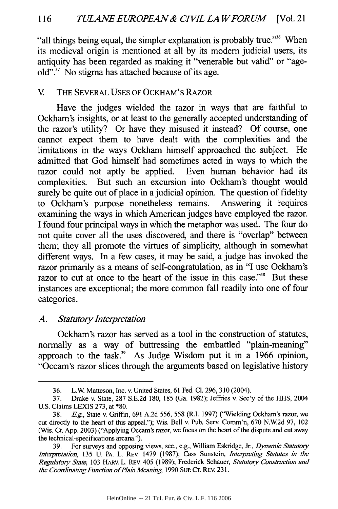"all things being equal, the simpler explanation is probably true."<sup>36</sup> When its medieval origin is mentioned at all by its modem judicial users, its antiquity has been regarded as making it "venerable but valid" or "ageold"." No stigma has attached because of its age.

## V. THE SEVERAL USES OF OCKHAM'S RAZOR

Have the judges wielded the razor in ways that are faithful to Ockham's insights, or at least to the generally accepted understanding of the razor's utility? Or have they misused it instead? Of course, one cannot expect them to have dealt with the complexities and the limitations in the ways Ockham himself approached the subject. He admitted that God himself had sometimes acted in ways to which the razor could not aptly be applied. Even human behavior had its complexities. But such an excursion into Ockham's thought would surely be quite out of place in a judicial opinion. The question of fidelity to Ockham's purpose nonetheless remains. Answering it requires examining the ways in which American judges have employed the razor. I found four principal ways in which the metaphor was used. The four do not quite cover all the uses discovered, and there is "overlap" between them; they all promote the virtues of simplicity, although in somewhat different ways. In a few cases, it may be said, a judge has invoked the razor primarily as a means of self-congratulation, as in "I use Ockham's razor to cut at once to the heart of the issue in this case."<sup>38</sup> But these instances are exceptional; the more common fall readily into one of four categories.

## *A. Statutory Interpretation*

Ockham's razor has served as a tool in the construction of statutes, normally as a way of buttressing the embattled "plain-meaning" approach to the task." As Judge Wisdom put it in a 1966 opinion, "Occam's razor slices through the arguments based on legislative history

<sup>36.</sup> L.W. Matteson, Inc. v. United States, 61 Fed. **Cl.** 296, 310 (2004).

<sup>37.</sup> Drake v. State, 287 S.E.2d 180, 185 (Ga. 1982); Jeffries v. Sec'y of the HHS, 2004 U.S. Claims LEXIS 273, at \*80.

<sup>38.</sup> **E.g.,** State v. Griffin, 691 A.2d 556, 558 (R.I. 1997) ("Wielding Ockham's razor, we cut directly to the heart of this appeal."); Wis. Bell v. Pub. Serv. Comm'n, 670 N.W2d 97, 102 (Wis. Ct. App. 2003) ("Applying Occam's razor, we focus on the heart of the dispute and cut away the technical-specifications arcana.").

<sup>39.</sup> For surveys and opposing views, see., e.g., William Eskridge, Jr., *Dynamic Statutory Interpretation,* 135 U. PA. L. REv. 1479 (1987); Cass Sunstein, *Interpreting Statutes* in *the Regulatory State,* 103 HARV. L. REV. 405 (1989); Frederick Schauer, *Statutory Construction and the Coordinating Function ofPlain Meaning,* 1990 Sup. CT. REv. 231.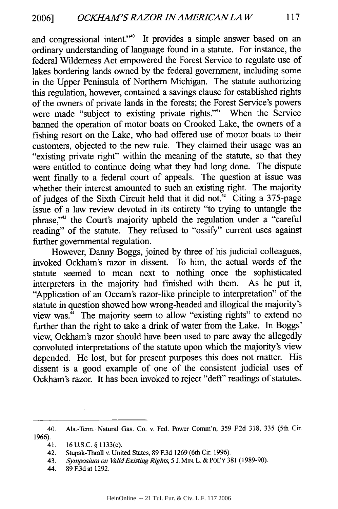and congressional intent."<sup>40</sup> It provides a simple answer based on an ordinary understanding of language found in a statute. For instance, the federal Wilderness Act empowered the Forest Service to regulate use of lakes bordering lands owned by the federal government, including some in the Upper Peninsula of Northern Michigan. The statute authorizing this regulation, however, contained a savings clause for established rights of the owners of private lands in the forests; the Forest Service's powers were made "subject to existing private rights."<sup>41</sup> When the Service banned the operation of motor boats on Crooked Lake, the owners of a fishing resort on the Lake, who had offered use of motor boats to their customers, objected to the new rule. They claimed their usage was an "existing private right" within the meaning of the statute, so that they were entitled to continue doing what they had long done. The dispute went finally to a federal court of appeals. The question at issue was whether their interest amounted to such an existing right. The majority of judges of the Sixth Circuit held that it did not." Citing a 375-page issue of a law review devoted in its entirety "to trying to untangle the phrase,"<sup>43</sup> the Court's majority upheld the regulation under a "careful reading" of the statute. They refused to "ossify" current uses against further governmental regulation.

However, Danny Boggs, joined by three of his judicial colleagues, invoked Ockham's razor in dissent. To him, the actual words of the statute seemed to mean next to nothing once the sophisticated interpreters in the majority had finished with them. As he put it, "Application of an Occam's razor-like principle to interpretation" of the statute in question showed how wrong-headed and illogical the majority's view was. $4\pi$  The majority seem to allow "existing rights" to extend no further than the right to take a drink of water from the Lake. In Boggs' view, Ockham's razor should have been used to pare away the allegedly convoluted interpretations of the statute upon which the majority's view depended. He lost, but for present purposes this does not matter. His dissent is a good example of one of the consistent judicial uses of Ockham's razor. It has been invoked to reject "deft" readings of statutes.

<sup>40.</sup> Ala.-Tenn. Natural Gas. Co. v. Fed. Power Comm'n, 359 **E2d** 318, 335 (5th Cir. 1966).

<sup>41. 16</sup> U.S.C. § 1133(c).

<sup>42.</sup> Stupak-Thrall v. United States, 89 **E3d** 1269 (6th Cir. 1996).

<sup>43.</sup> *Symposium on ValidExisting Rights,* 5 J. MIN.L. & PoL'Y 381 (1989-90).

<sup>44. 89</sup> **E3d** at 1292.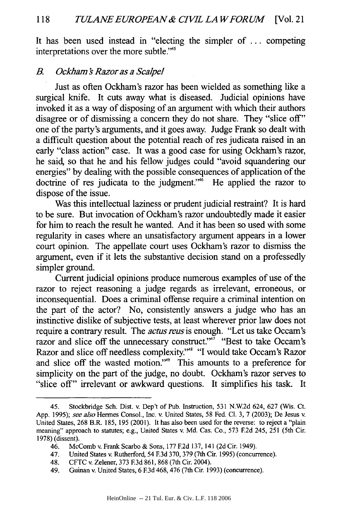It has been used instead in "electing the simpler of ... competing interpretations over the more subtle."<sup>45</sup>

### *B.* Ockham's Razor as a Scalpel

Just as often Ockham's razor has been wielded as something like a surgical knife. It cuts away what is diseased. Judicial opinions have invoked it as a way of disposing of an argument with which their authors disagree or of dismissing a concern they do not share. They "slice off" one of the party's arguments, and it goes away. Judge Frank so dealt with a difficult question about the potential reach of res judicata raised in an early "class action" case. It was a good case for using Ockham's razor, he said, so that he and his fellow judges could "avoid squandering our energies" by dealing with the possible consequences of application of the doctrine of res judicata to the judgment." $\ddot{ }$  He applied the razor to dispose of the issue.

Was this intellectual laziness or prudent judicial restraint? It is hard to be sure. But invocation of Ockham's razor undoubtedly made it easier for him to reach the result he wanted. And it has been so used with some regularity in cases where an unsatisfactory argument appears in a lower court opinion. The appellate court uses Ockham's razor to dismiss the argument, even if it lets the substantive decision stand on a professedly simpler ground.

Current judicial opinions produce numerous examples of use of the razor to reject reasoning a judge regards as irrelevant, erroneous, or inconsequential. Does a criminal offense require a criminal intention on the part of the actor? No, consistently answers a judge who has an instinctive dislike of subjective tests, at least wherever prior law does not require a contrary result. The *actus reus* is enough. "Let us take Occam's razor and slice off the unnecessary construct."<sup> $\pi$ </sup> "Best to take Occam's Razor and slice off needless complexity."<sup>48</sup> "I would take Occam's Razor and slice off the wasted motion."<sup>49</sup> This amounts to a preference for simplicity on the part of the judge, no doubt. Ockham's razor serves to "slice off" irrelevant or awkward questions. It simplifies his task. It

<sup>45.</sup> Stockbridge Sch. Dist. v. Dep't of Pub. Instruction, 531 N.W.2d 624, 627 (Wis. Ct. App. 1995); *see also* Hermes Consol., Inc. v. United States, 58 Fed. **Cl.** 3, 7 (2003); De Jesus v. United States, 268 B.R. 185, 195 (2001). It has also been used for the reverse: to reject a "plain meaning" approach to statutes; e.g., United States v. Md. Cas. Co., 573 **F2d** 245, 251 (5th Cir. 1978) (dissent).

<sup>46.</sup> McComb v. Frank Scarbo & Sons, 177 **F.2d** 137, 141 (2d Cir. 1949).

<sup>47.</sup> United States v. Rutherford, 54 **F.3d** 370, 379 (7th Cir. 1995) (concurrence).

<sup>48.</sup> CFTC v. Zelener, 373 **F.3d** 861, 868 (7th Cir. 2004).

<sup>49.</sup> Guinan v. United States, 6 **F3d** 468,476 (7th Cir. 1993) (concurrence).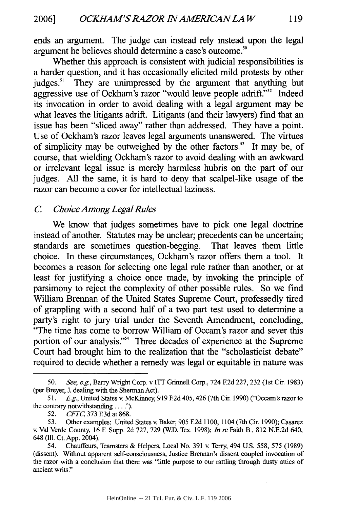ends an argument. The judge can instead rely instead upon the legal argument he believes should determine a case's outcome."

Whether this approach is consistent with judicial responsibilities is a harder question, and it has occasionally elicited mild protests by other judges.<sup>51</sup> They are unimpressed by the argument that anything but aggressive use of Ockham's razor "would leave people adrift."<sup>52</sup> Indeed its invocation in order to avoid dealing with a legal argument may be what leaves the litigants adrift. Litigants (and their lawyers) find that an issue has been "sliced away" rather than addressed. They have a point. Use of Ockham's razor leaves legal arguments unanswered. The virtues of simplicity may be outweighed by the other factors.<sup>53</sup> It may be, of course, that wielding Ockham's razor to avoid dealing with an awkward or irrelevant legal issue is merely harmless hubris on the part of our judges. All the same, it is hard to deny that scalpel-like usage of the razor can become a cover for intellectual laziness.

## *C Choice Among LegalRules*

We know that judges sometimes have to pick one legal doctrine instead of another. Statutes may be unclear; precedents can be uncertain; standards are sometimes question-begging. That leaves them little choice. In these circumstances, Ockham's razor offers them a tool. It becomes a reason for selecting one legal rule rather than another, or at least for justifying a choice once made, by invoking the principle of parsimony to reject the complexity of other possible rules. So we find William Brennan of the United States Supreme Court, professedly tired of grappling with a second half of a two part test used to determine a party's right to jury trial under the Seventh Amendment, concluding, "The time has come to borrow William of Occam's razor and sever this portion of our analysis."<sup>34</sup> Three decades of experience at the Supreme Court had brought him to the realization that the "scholasticist debate" required to decide whether a remedy was legal or equitable in nature was

<sup>50.</sup> *See, e.g.,* Barry Wright Corp. v ITT Grinnell Corp., 724 E2d 227, 232 (1st Cir. 1983) (per Breyer, J. dealing with the Sherman Act).

<sup>51.</sup> *E.g.,* United States v. McKinney, 919 **F2d** 405, 426 (7th Cir. 1990) ("Occam's razor to the contrary notwithstanding... **").**

<sup>52.</sup> *CFTC,* 373 **E3d** at 868.

<sup>53.</sup> Other examples: United States v. Baker, 905 **E2d** 1100, 1104 (7th Cir. 1990); Casarez v. Val Verde County, 16 **E** Supp. 2d 727, 729 (W.D. Tex. 1998); *In re* Faith B., 812 N.E.2d 640, 648 **(I11.** Ct. App. 2004).

<sup>54.</sup> Chauffeurs, Teamsters & Helpers, Local No. 391 v. Terry, 494 U.S. 558, 575 (1989) (dissent). Without apparent self-consciousness, Justice Brennan's dissent coupled invocation of the razor with a conclusion that there was "little purpose to our rattling through dusty attics of ancient writs."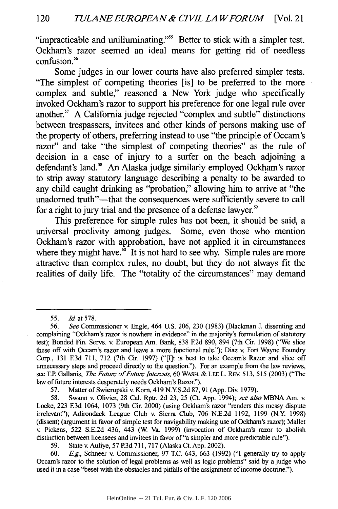"impracticable and unilluminating."<sup>55</sup> Better to stick with a simpler test. Ockham's razor seemed an ideal means for getting rid of needless  $confusion<sup>56</sup>$ 

Some judges in our lower courts have also preferred simpler tests. "The simplest of competing theories [is] to be preferred to the more complex and subtle," reasoned a New York judge who specifically invoked Ockham's razor to support his preference for one legal rule over another." A California judge rejected "complex and subtle" distinctions between trespassers, invitees and other kinds of persons making use of the property of others, preferring instead to use "the principle of Occam's razor" and take "the simplest of competing theories" as the rule of decision in a case of injury to a surfer on the beach adjoining a defendant's land.<sup>58</sup> An Alaska judge similarly employed Ockham's razor to strip away statutory language describing a penalty to be awarded to any child caught drinking as "probation," allowing him to arrive at "the unadorned truth"—that the consequences were sufficiently severe to call for a right to jury trial and the presence of a defense lawyer.<sup>59</sup>

This preference for simple rules has not been, it should be said, a universal proclivity among judges. Some, even those who mention Ockham's razor with approbation, have not applied it in circumstances where they might have.<sup>60</sup> It is not hard to see why. Simple rules are more attractive than complex rules, no doubt, but they do not always fit the realities of daily life. The "totality of the circumstances" may demand

57. Matter of Swierupski v. Korn, 419 N.YS.2d 87, 91 (App. Div. 1979).

59. State v. Auliye, 57 P3d 711, 717 (Alaska Ct. App. 2002).

<sup>55.</sup> *Id.* at 578.

<sup>56.</sup> *See* Commissioner v. Engle, 464 U.S. 206, 230 (1983) (Blackman J. dissenting and complaining "Ockham's razor is nowhere in evidence" in the majority's formulation of statutory test); Bonded Fin. Servs. v. European Am. Bank, 838 **E2d** 890, 894 (7th Cir. 1998) ("We slice these off with Occam's razor and leave a more functional rule."); Diaz v. Fort Wayne Foundry Corp., 131 **E3d** 711, 712 (7th Cir. 1997) ("[I]t is best to take Occam's Razor and slice off unnecessary steps and proceed directly to the question."). For an example from the law reviews, see TP. Gallanis, *The Future of Future Interests,* 60 WASH. & **LEE** L. REv. 513, 515 (2003) ("The law of future interests desperately needs Ockham's Razor.").

<sup>58.</sup> Swann v. Olivier, 28 Cal. Rptr. 2d 23, 25 (Ct. App. 1994); *see also* MBNA Am. v. Locke, 223 **F.3d** 1064, 1073 (9th Cir. 2000) (using Ockham's razor "renders this messy dispute irrelevant"); Adirondack League Club v. Sierra Club, 706 N.E.2d 1192, 1199 (N.Y. 1998) (dissent) (argument in favor of simple test for navigability making use of Ockham's razor); Mallet v. Pickens, 522 S.E.2d 436, 443 (W Va. 1999) (invocation of Ockham's razor to abolish distinction between licensees and invitees in favor of"a simpler and more predictable rule").

<sup>60.</sup> *E.g.,* Schneer v. Commissioner, 97 T.C. 643, 663 (1992) ("I generally try to apply Occam's razor to the solution of legal problems as well as logic problems" said by a judge who used it in a case "beset with the obstacles and pitfalls of the assignment of income doctrine.").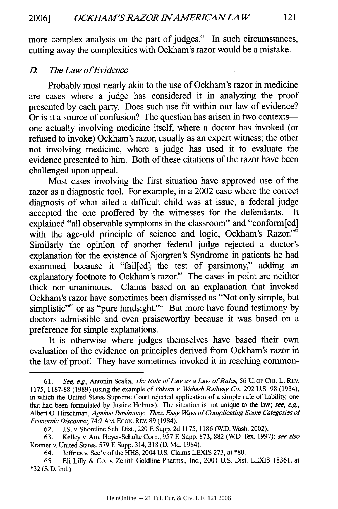more complex analysis on the part of judges.<sup>61</sup> In such circumstances, cutting away the complexities with Ockham's razor would be a mistake.

#### *D. The Law ofEvidence*

Probably most nearly akin to the use of Ockham's razor in medicine are cases where a judge has considered it in analyzing the proof presented **by** each party. Does such use fit within our law of evidence? Or is it a source of confusion? The question has arisen in two contexts one actually involving medicine **itself,** where a doctor has invoked (or refused to invoke) Ockham's razor, usually as an expert witness; the other not involving medicine, where a judge has used it to evaluate the evidence presented to him. Both of these citations of the razor have been challenged upon appeal.

Most cases involving the first situation have approved use of the razor as a diagnostic tool. For example, in a 2002 case where the correct diagnosis of what ailed a difficult child was at issue, a federal judge accepted the one proffered **by** the witnesses for the defendants. It explained "all observable symptoms in the classroom" and "conform[ed] with the age-old principle of science and logic, Ockham's Razor."<sup>52</sup> Similarly the opinion of another federal judge rejected a doctor's explanation for the existence of Sjorgren's Syndrome in patients he had examined, because it "fail[ed] the test of parsimony," adding an explanatory footnote to Ockham's razor.<sup>63</sup> The cases in point are neither thick nor unanimous. Claims based on an explanation that invoked Ockham's razor have sometimes been dismissed as "Not only simple, but simplistic<sup>"64</sup> or as "pure hindsight."<sup>65</sup> But more have found testimony by doctors admissible and even praiseworthy because it was based on a preference for simple explanations.

It is otherwise where judges themselves have based their own evaluation of the evidence on principles derived from Ockham's razor in the law of proof. They have sometimes invoked it in reaching common-

*<sup>61.</sup> See, e.g.,* Antonin Scalia, *The Rule ofLaw as a Law of Rules,* 56 U. **OF** CH. L. REV. **1175, 1187-88 (1989)** (using the example *of Pokora v Wabash Railway Co.,* **292 U.S. 98** (1934), in which the United States Supreme Court rejected application of a simple rule of liability, one that had been formulated **by** Justice Holmes). The situation is not unique to the law; *see, e.g.,* Albert **0.** Hirschman, *Against Parsimony: Three Easy Ways of Complicating Some Categories of Economic Discourse,* 74:2 AM. **ECON.** REV. **89** (1984).

**<sup>62.</sup> J.S.** v. Shoreline Sch. Dist., 220 **E** Supp. **2d 1175, 1186** (WD. Wash. 2002).

**<sup>63.</sup>** Kelley v. Am. Heyer-Schulte Corp., **957** F. Supp. **873, 882** (WD. Tex. **1997);** *see also* Kramer v. United States, **579 E** Supp. 314, **318 (D. Md.** 1984).

<sup>64.</sup> Jeffries v. Sec'y of the **HHS,** 2004 **U.S.** Claims **LEXIS 273,** at **\*80.**

**<sup>65.</sup>** Eli Lilly **&** Co. v. Zenith Goldline Pharms., Inc., 2001 **U.S.** Dist. **LEXIS 18361,** at **\*32 (S.D.** Ind.).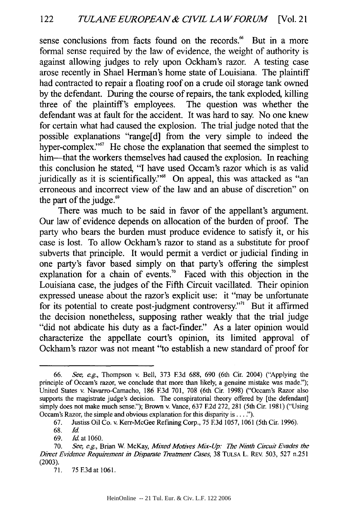sense conclusions from facts found on the records." But in a more formal sense required by the law of evidence, the weight of authority is against allowing judges to rely upon Ockham's razor. A testing case arose recently in Shael Herman's home state of Louisiana. The plaintiff had contracted to repair a floating roof on a crude oil storage tank owned by the defendant. During the course of repairs, the tank exploded, killing three of the plaintiff's employees. The question was whether the defendant was at fault for the accident. It was hard to say. No one knew for certain what had caused the explosion. The trial judge noted that the possible explanations "range[d] from the very simple to indeed the hyper-complex."<sup>67</sup> He chose the explanation that seemed the simplest to him—that the workers themselves had caused the explosion. In reaching this conclusion he stated, "I have used Occam's razor which is as valid juridically as it is scientifically."<sup>68</sup> On appeal, this was attacked as "an erroneous and incorrect view of the law and an abuse of discretion" on the part of the judge. $\degree$ 

There was much to be said in favor of the appellant's argument. Our law of evidence depends on allocation of the burden of proof. The party who bears the burden must produce evidence to satisfy it, or his case is lost. To allow Ockham's razor to stand as a substitute for proof subverts that principle. It would permit a verdict or judicial finding in one party's favor based simply on that party's offering the simplest explanation for a chain of events." Faced with this objection in the Louisiana case, the judges of the Fifth Circuit vacillated. Their opinion expressed unease about the razor's explicit use: it "may be unfortunate for its potential to create post-judgment controversy."<sup>11</sup> But it affirmed the decision nonetheless, supposing rather weakly that the trial judge "did not abdicate his duty as a fact-finder." As a later opinion would characterize the appellate court's opinion, its limited approval of Ockham's razor was not meant "to establish a new standard of proof for

<sup>66.</sup> *See, e.g.,* Thompson v. Bell, 373 E3d 688, 690 (6th Cir. 2004) ("Applying the principle of Occam's razor, we conclude that more than likely, a genuine mistake was made."); United States v. Navarro-Camacho, 186 E3d 701, 708 (6th Cir. 1998) ("Occam's Razor also supports the magistrate judge's decision. The conspiratorial theory offered by [the defendant] simply does not make much sense."); Brown v. Vance, 637 **E2d** 272, 281 (5th Cir. 1981) ("Using Occam's Razor, the simple and obvious explanation for this disparity is....").

<sup>67.</sup> Justiss Oil Co. v. Kerr-McGee Refining Corp., 75 E3d 1057, 1061 (5th Cir. 1996).

<sup>68.</sup> *Id*

<sup>69.</sup> *Id* at 1060.

<sup>70.</sup> *See, e.g.,* Brian W McKay, *Mixed Motives Mix-Up: The Ninth Circuit Evades the Direct Evidence Requirement* in *Disparate Treatment Cases,* 38 **TULSA** L. REv. 503, **527** n.251 (2003).

<sup>71. 75</sup> E3dat **1061.**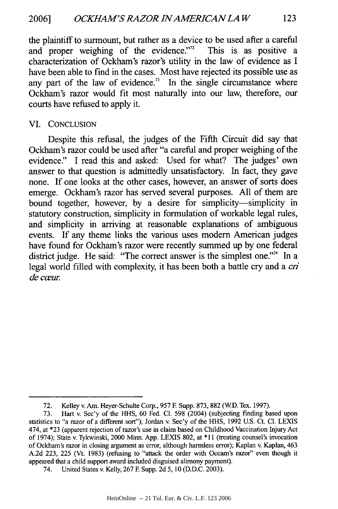the plaintiff to surmount, but rather as a device to be used after a careful<br>and proper weighing of the evidence."<sup>2</sup> This is as positive a and proper weighing of the evidence." $72$ characterization of Ockham's razor's utility in the law of evidence as I have been able to find in the cases. Most have rejected its possible use as any part of the law of evidence.<sup>73</sup> In the single circumstance where Ockham's razor would fit most naturally into our law, therefore, our courts have refused to apply it.

#### VI. CONCLUSION

Despite this refusal, the judges of the Fifth Circuit did say that Ockham's razor could be used after "a careful and proper weighing of the evidence." I read this and asked: Used for what? The judges' own answer to that question is admittedly unsatisfactory. In fact, they gave none. If one looks at the other cases, however, an answer of sorts does emerge. Ockham's razor has served several purposes. All of them are bound together, however, by a desire for simplicity-simplicity in statutory construction, simplicity in formulation of workable legal rules, and simplicity in arriving at reasonable explanations of ambiguous events. If any theme links the various uses modem American judges have found for Ockham's razor were recently summed up by one federal district judge. He said: "The correct answer is the simplest one."<sup>74</sup> In a legal world filled with complexity, it has been both a battle cry and a *cri de* cwur.

<sup>72.</sup> Kelley v. Am. Heyer-Schulte Corp., 957 **E** Supp. 873, 882 (WD. Tex. 1997).

<sup>73.</sup> Hart v. Sec'y of the HHS, 60 Fed. **Cl.** 598 (2004) (subjecting finding based upon statistics to "a razor of a different sort"); Jordan v. Sec'y of the HHS, 1992 U.S. Ct. Cl. LEXIS 474, at \*23 (apparent rejection of razor's use in claim based on Childhood Vaccination Injury Act of 1974); State v. Tykwinski, 2000 Minn. App. LEXIS 802, at \*11 (treating counsel's invocation of Ockham's razor in closing argument as error, although harmless error); Kaplan v. Kaplan, 463 A.2d 223, 225 (Vt. 1983) (refusing to "attack the order with Occam's razor" even though it appeared that a child support award included disguised alimony payment).

<sup>74.</sup> United States v. Kelly, 267 **E** Supp. 2d 5, 10 (D.D.C. 2003).